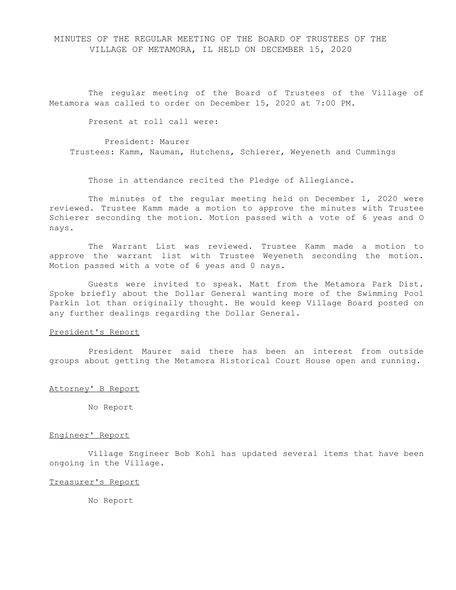# MINUTES OF THE REGULAR MEETING OF THE BOARD OF TRUSTEES OF THE VILLAGE OF METAMORA, IL HELD ON DECEMBER 15, 2020

The regular meeting of the Board of Trustees of the Village of Metamora was called to order on December 15, 2020 at 7:00 PM.

Present at roll call were:

President: Maurer Trustees: Kamm, Nauman, Hutchens, Schierer, Weyeneth and Cummings

Those in attendance recited the Pledge of Allegiance.

The minutes of the regular meeting held on December 1, 2020 were reviewed. Trustee Kamm made a motion to approve the minutes with Trustee Schierer seconding the motion. Motion passed with a vote of 6 yeas and O nays.

The Warrant List was reviewed. Trustee Kamm made a motion to approve the warrant list with Trustee Weyeneth seconding the motion. Motion passed with a vote of 6 yeas and 0 nays.

Guests were invited to speak. Matt from the Metamora Park Dist. Spoke briefly about the Dollar General wanting more of the Swimming Pool Parkin lot than originally thought. He would keep Village Board posted on any further dealings regarding the Dollar General.

# President's Report

President Maurer said there has been an interest from outside groups about getting the Metamora Historical Court House open and running.

### Attorney' B Report

No Report

# Engineer' Report

Village Engineer Bob Kohl has updated several items that have been ongoing in the Village.

#### Treasurer's Report

No Report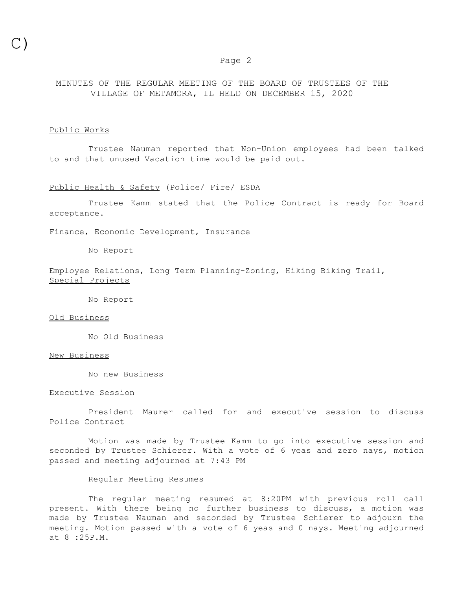#### Page 2

# MINUTES OF THE REGULAR MEETING OF THE BOARD OF TRUSTEES OF THE VILLAGE OF METAMORA, IL HELD ON DECEMBER 15, 2020

#### Public Works

Trustee Nauman reported that Non-Union employees had been talked to and that unused Vacation time would be paid out.

### Public Health & Safety (Police/ Fire/ ESDA

Trustee Kamm stated that the Police Contract is ready for Board acceptance.

# Finance, Economic Development, Insurance

No Report

# Employee Relations, Long Term Planning-Zoning, Hiking Biking Trail, Special Projects

No Report

#### Old Business

No Old Business

#### New Business

No new Business

#### Executive Session

President Maurer called for and executive session to discuss Police Contract

Motion was made by Trustee Kamm to go into executive session and seconded by Trustee Schierer. With a vote of 6 yeas and zero nays, motion passed and meeting adjourned at 7:43 PM

# Regular Meeting Resumes

The regular meeting resumed at 8:20PM with previous roll call present. With there being no further business to discuss, a motion was made by Trustee Nauman and seconded by Trustee Schierer to adjourn the meeting. Motion passed with a vote of 6 yeas and 0 nays. Meeting adjourned at 8 :25P.M.

C)